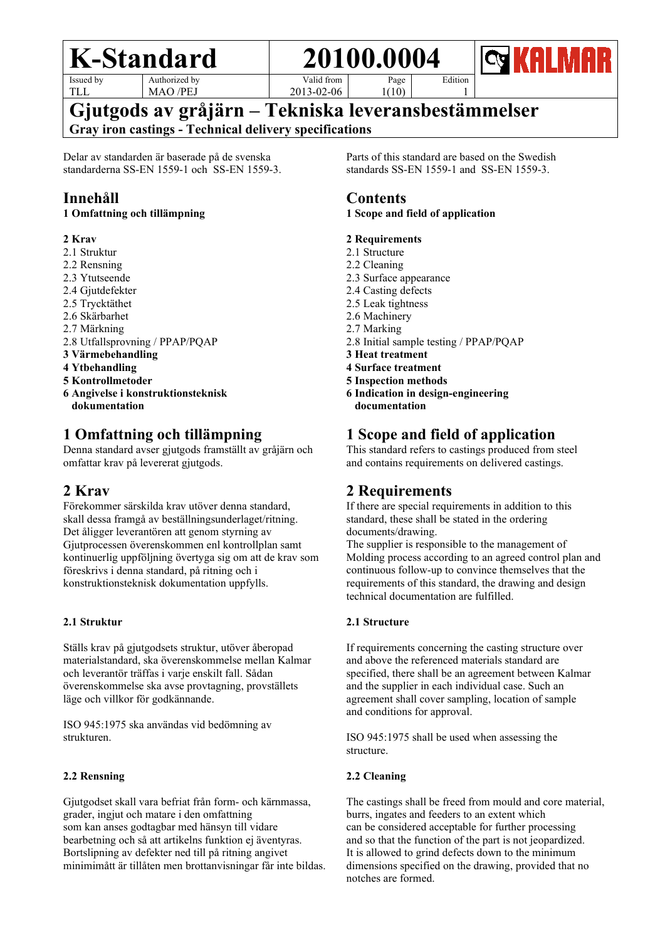Page

Issued by TLL

Authorized by MAO /PEJ

Valid from 2013-02-06  $1(10)$  Edition 1

**Gjutgods av gråjärn – Tekniska leveransbestämmelser Gray iron castings - Technical delivery specifications**

Delar av standarden är baserade på de svenska standarderna SS-EN 1559-1 och SS-EN 1559-3.

## **Innehåll**

#### **1 Omfattning och tillämpning**

#### **2 Krav**

- 2.1 Struktur
- 2.2 Rensning
- 2.3 Ytutseende
- 2.4 Gjutdefekter
- 2.5 Trycktäthet
- 2.6 Skärbarhet
- 2.7 Märkning
- 2.8 Utfallsprovning / PPAP/PQAP
- **3 Värmebehandling**
- **4 Ytbehandling**
- **5 Kontrollmetoder**
- **6 Angivelse i konstruktionsteknisk dokumentation**

## **1 Omfattning och tillämpning**

Denna standard avser gjutgods framställt av gråjärn och omfattar krav på levererat gjutgods.

## **2 Krav**

Förekommer särskilda krav utöver denna standard, skall dessa framgå av beställningsunderlaget/ritning. Det åligger leverantören att genom styrning av Gjutprocessen överenskommen enl kontrollplan samt kontinuerlig uppföljning övertyga sig om att de krav som föreskrivs i denna standard, på ritning och i konstruktionsteknisk dokumentation uppfylls.

#### **2.1 Struktur**

Ställs krav på gjutgodsets struktur, utöver åberopad materialstandard, ska överenskommelse mellan Kalmar och leverantör träffas i varje enskilt fall. Sådan överenskommelse ska avse provtagning, provställets läge och villkor för godkännande.

ISO 945:1975 ska användas vid bedömning av strukturen.

#### **2.2 Rensning**

Gjutgodset skall vara befriat från form- och kärnmassa, grader, ingjut och matare i den omfattning som kan anses godtagbar med hänsyn till vidare bearbetning och så att artikelns funktion ej äventyras. Bortslipning av defekter ned till på ritning angivet minimimått är tillåten men brottanvisningar får inte bildas. Parts of this standard are based on the Swedish standards SS-EN 1559-1 and SS-EN 1559-3.

### **Contents**

#### **1 Scope and field of application**

#### **2 Requirements**

- 2.1 Structure
- 2.2 Cleaning
- 2.3 Surface appearance
- 2.4 Casting defects
- 2.5 Leak tightness
- 2.6 Machinery
- 2.7 Marking
- 2.8 Initial sample testing / PPAP/PQAP
- **3 Heat treatment**
- **4 Surface treatment**
- **5 Inspection methods**
- **6 Indication in design-engineering documentation**

## **1 Scope and field of application**

This standard refers to castings produced from steel and contains requirements on delivered castings.

## **2 Requirements**

If there are special requirements in addition to this standard, these shall be stated in the ordering documents/drawing.

The supplier is responsible to the management of Molding process according to an agreed control plan and continuous follow-up to convince themselves that the requirements of this standard, the drawing and design technical documentation are fulfilled.

#### **2.1 Structure**

If requirements concerning the casting structure over and above the referenced materials standard are specified, there shall be an agreement between Kalmar and the supplier in each individual case. Such an agreement shall cover sampling, location of sample and conditions for approval.

ISO 945:1975 shall be used when assessing the structure.

#### **2.2 Cleaning**

The castings shall be freed from mould and core material, burrs, ingates and feeders to an extent which can be considered acceptable for further processing and so that the function of the part is not jeopardized. It is allowed to grind defects down to the minimum dimensions specified on the drawing, provided that no notches are formed.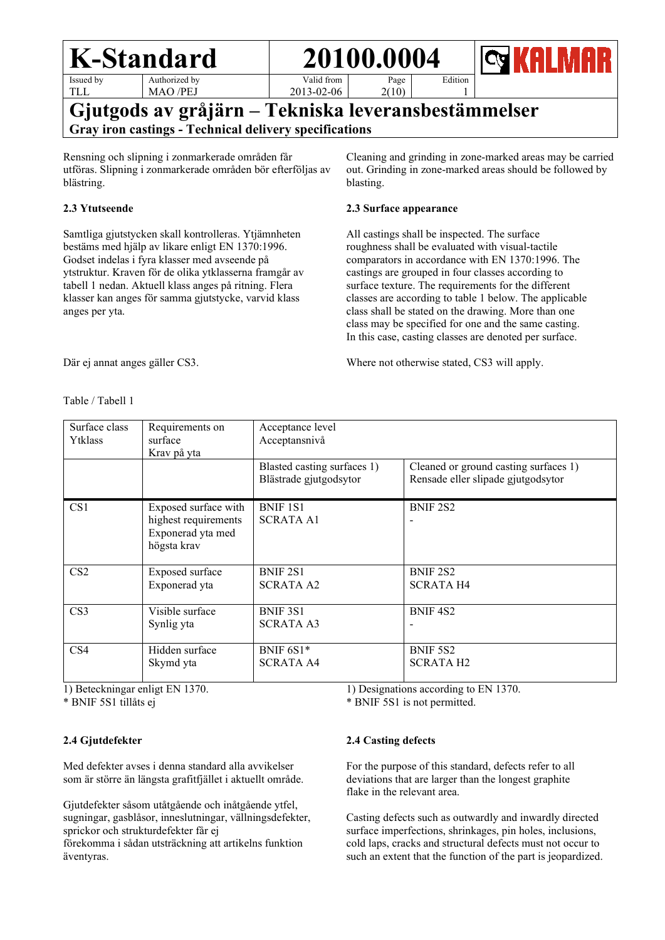

Authorized by MAO /PEJ

Valid from

Page 2(10)

Edition 1

2013-02-06

### **Gjutgods av gråjärn – Tekniska leveransbestämmelser Gray iron castings - Technical delivery specifications**

Rensning och slipning i zonmarkerade områden får utföras. Slipning i zonmarkerade områden bör efterföljas av blästring.

#### **2.3 Ytutseende**

Samtliga gjutstycken skall kontrolleras. Ytjämnheten bestäms med hjälp av likare enligt EN 1370:1996. Godset indelas i fyra klasser med avseende på ytstruktur. Kraven för de olika ytklasserna framgår av tabell 1 nedan. Aktuell klass anges på ritning. Flera klasser kan anges för samma gjutstycke, varvid klass anges per yta.

Cleaning and grinding in zone-marked areas may be carried out. Grinding in zone-marked areas should be followed by blasting.

#### **2.3 Surface appearance**

All castings shall be inspected. The surface roughness shall be evaluated with visual-tactile comparators in accordance with EN 1370:1996. The castings are grouped in four classes according to surface texture. The requirements for the different classes are according to table 1 below. The applicable class shall be stated on the drawing. More than one class may be specified for one and the same casting. In this case, casting classes are denoted per surface.

Där ej annat anges gäller CS3.

Table / Tabell 1

Where not otherwise stated, CS3 will apply.

| Surface class<br>Ytklass | Requirements on<br>surface<br>Krav på yta                                        | Acceptance level<br>Acceptansnivå                     |                                                                             |  |
|--------------------------|----------------------------------------------------------------------------------|-------------------------------------------------------|-----------------------------------------------------------------------------|--|
|                          |                                                                                  | Blasted casting surfaces 1)<br>Blästrade gjutgodsytor | Cleaned or ground casting surfaces 1)<br>Rensade eller slipade gjutgodsytor |  |
| CS1                      | Exposed surface with<br>highest requirements<br>Exponerad yta med<br>högsta krav | <b>BNIF 1S1</b><br><b>SCRATA A1</b>                   | <b>BNIF 2S2</b>                                                             |  |
| CS <sub>2</sub>          | Exposed surface<br>Exponerad yta                                                 | <b>BNIF 2S1</b><br><b>SCRATA A2</b>                   | BNIF <sub>2S2</sub><br><b>SCRATA H4</b>                                     |  |
| CS <sub>3</sub>          | Visible surface<br>Synlig yta                                                    | BNIF 3S1<br><b>SCRATA A3</b>                          | BNIF <sub>4S2</sub>                                                         |  |
| CS <sub>4</sub>          | Hidden surface<br>Skymd yta                                                      | BNIF $6S1*$<br><b>SCRATA A4</b>                       | BNIF 5S2<br><b>SCRATA H2</b>                                                |  |

1) Beteckningar enligt EN 1370.

\* BNIF 5S1 tillåts ej

#### **2.4 Gjutdefekter**

Med defekter avses i denna standard alla avvikelser som är större än längsta grafitfjället i aktuellt område.

Gjutdefekter såsom utåtgående och inåtgående ytfel, sugningar, gasblåsor, inneslutningar, vällningsdefekter, sprickor och strukturdefekter får ej

förekomma i sådan utsträckning att artikelns funktion äventyras.

1) Designations according to EN 1370.

\* BNIF 5S1 is not permitted.

#### **2.4 Casting defects**

For the purpose of this standard, defects refer to all deviations that are larger than the longest graphite flake in the relevant area.

Casting defects such as outwardly and inwardly directed surface imperfections, shrinkages, pin holes, inclusions, cold laps, cracks and structural defects must not occur to such an extent that the function of the part is jeopardized.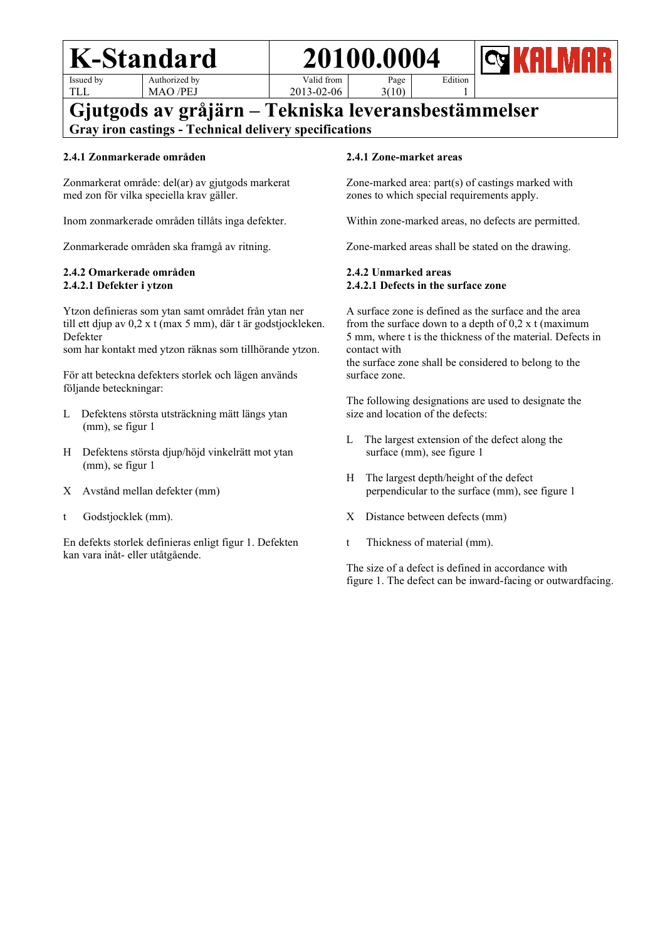Issued by TLL

Authorized by MAO /PEJ

Valid from 2013-02-06 Edition 1

**Gjutgods av gråjärn – Tekniska leveransbestämmelser Gray iron castings - Technical delivery specifications**

#### **2.4.1 Zonmarkerade områden**

Zonmarkerat område: del(ar) av gjutgods markerat med zon för vilka speciella krav gäller.

Inom zonmarkerade områden tillåts inga defekter.

Zonmarkerade områden ska framgå av ritning.

#### **2.4.2 Omarkerade områden 2.4.2.1 Defekter i ytzon**

Ytzon definieras som ytan samt området från ytan ner till ett djup av 0,2 x t (max 5 mm), där t är godstjockleken. Defekter

som har kontakt med ytzon räknas som tillhörande ytzon.

För att beteckna defekters storlek och lägen används följande beteckningar:

- L Defektens största utsträckning mätt längs ytan (mm), se figur 1
- H Defektens största djup/höjd vinkelrätt mot ytan (mm), se figur 1
- X Avstånd mellan defekter (mm)
- t Godstjocklek (mm).

En defekts storlek definieras enligt figur 1. Defekten kan vara inåt- eller utåtgående.

#### **2.4.1 Zone-market areas**

Page 3(10)

Zone-marked area: part(s) of castings marked with zones to which special requirements apply.

Within zone-marked areas, no defects are permitted.

Zone-marked areas shall be stated on the drawing.

#### **2.4.2 Unmarked areas 2.4.2.1 Defects in the surface zone**

A surface zone is defined as the surface and the area from the surface down to a depth of  $0.2 \times t$  (maximum 5 mm, where t is the thickness of the material. Defects in contact with

the surface zone shall be considered to belong to the surface zone.

The following designations are used to designate the size and location of the defects:

- L The largest extension of the defect along the surface (mm), see figure 1
- H The largest depth/height of the defect perpendicular to the surface (mm), see figure 1
- X Distance between defects (mm)
- t Thickness of material (mm).

The size of a defect is defined in accordance with figure 1. The defect can be inward-facing or outwardfacing.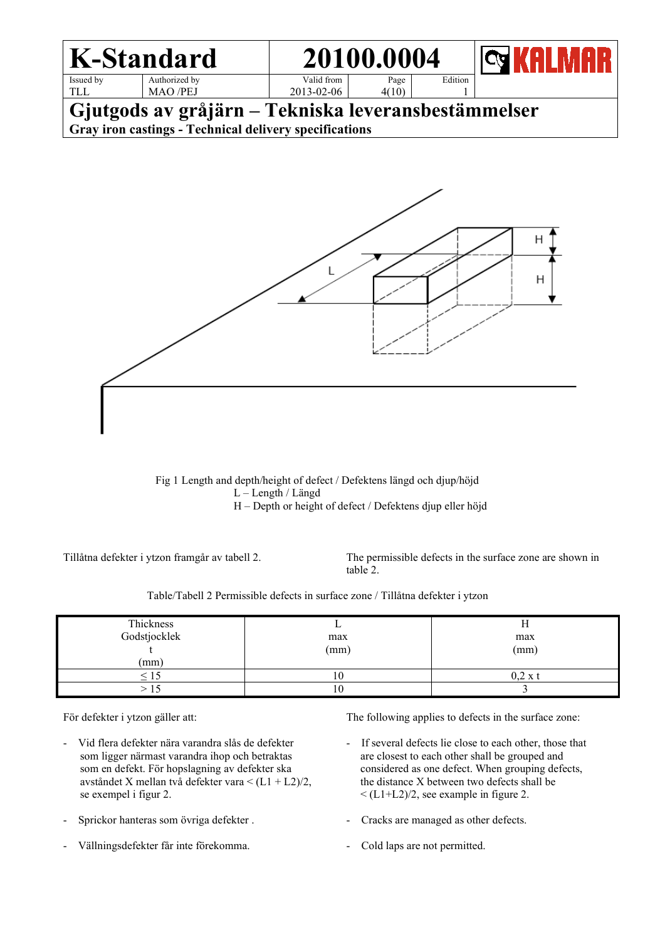

 Fig 1 Length and depth/height of defect / Defektens längd och djup/höjd L – Length / Längd H – Depth or height of defect / Defektens djup eller höjd

Tillåtna defekter i ytzon framgår av tabell 2. The permissible defects in the surface zone are shown in table 2.

Table/Tabell 2 Permissible defects in surface zone / Tillåtna defekter i ytzon

| Thickness    |      | .,   |
|--------------|------|------|
| Godstjocklek | max  | max  |
|              | (mm) | (mm) |
| (mm)         |      |      |
|              |      |      |
|              | 10   |      |

För defekter i ytzon gäller att:

- Vid flera defekter nära varandra slås de defekter som ligger närmast varandra ihop och betraktas som en defekt. För hopslagning av defekter ska avståndet X mellan två defekter vara < (L1 + L2)/2, se exempel i figur 2.
- Sprickor hanteras som övriga defekter .
- Vällningsdefekter får inte förekomma.

The following applies to defects in the surface zone:

- If several defects lie close to each other, those that are closest to each other shall be grouped and considered as one defect. When grouping defects, the distance X between two defects shall be  $\langle$  (L1+L2)/2, see example in figure 2.
- Cracks are managed as other defects.
- Cold laps are not permitted.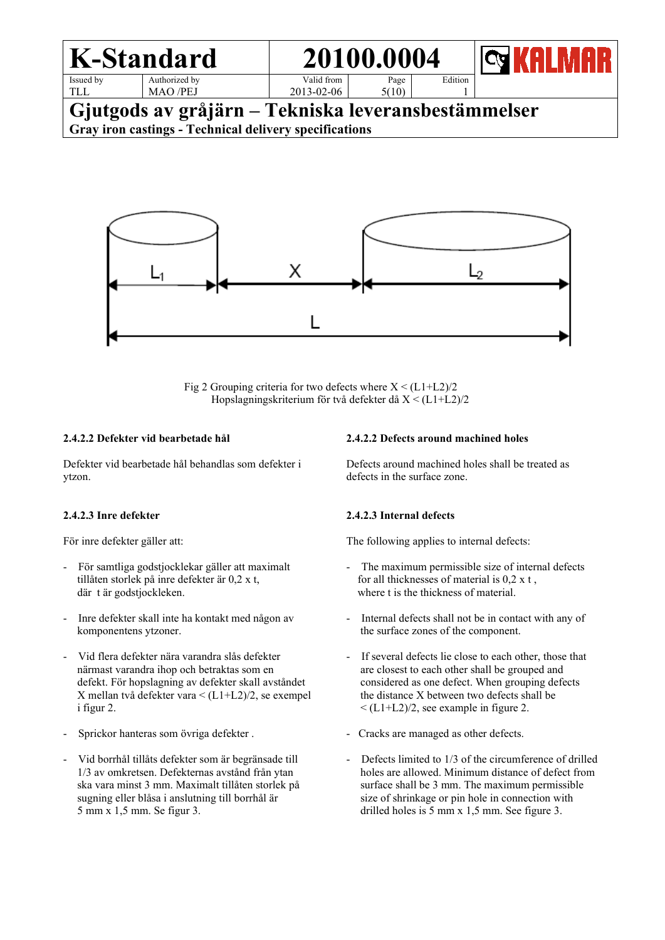

Fig 2 Grouping criteria for two defects where  $X < (L1+L2)/2$ Hopslagningskriterium för två defekter då X < (L1+L2)/2

#### **2.4.2.2 Defekter vid bearbetade hål**

Defekter vid bearbetade hål behandlas som defekter i ytzon.

#### **2.4.2.3 Inre defekter**

För inre defekter gäller att:

- För samtliga godstjocklekar gäller att maximalt tillåten storlek på inre defekter är 0,2 x t, där t är godstjockleken.
- Inre defekter skall inte ha kontakt med någon av komponentens ytzoner.
- Vid flera defekter nära varandra slås defekter närmast varandra ihop och betraktas som en defekt. För hopslagning av defekter skall avståndet X mellan två defekter vara < (L1+L2)/2, se exempel i figur 2.
- Sprickor hanteras som övriga defekter .
- Vid borrhål tillåts defekter som är begränsade till 1/3 av omkretsen. Defekternas avstånd från ytan ska vara minst 3 mm. Maximalt tillåten storlek på sugning eller blåsa i anslutning till borrhål är 5 mm x 1,5 mm. Se figur 3.

#### **2.4.2.2 Defects around machined holes**

Defects around machined holes shall be treated as defects in the surface zone.

#### **2.4.2.3 Internal defects**

The following applies to internal defects:

- The maximum permissible size of internal defects for all thicknesses of material is 0,2 x t , where t is the thickness of material.
- Internal defects shall not be in contact with any of the surface zones of the component.
- If several defects lie close to each other, those that are closest to each other shall be grouped and considered as one defect. When grouping defects the distance X between two defects shall be  $\leq$  (L1+L2)/2, see example in figure 2.
- Cracks are managed as other defects.
- Defects limited to 1/3 of the circumference of drilled holes are allowed. Minimum distance of defect from surface shall be 3 mm. The maximum permissible size of shrinkage or pin hole in connection with drilled holes is 5 mm x 1,5 mm. See figure 3.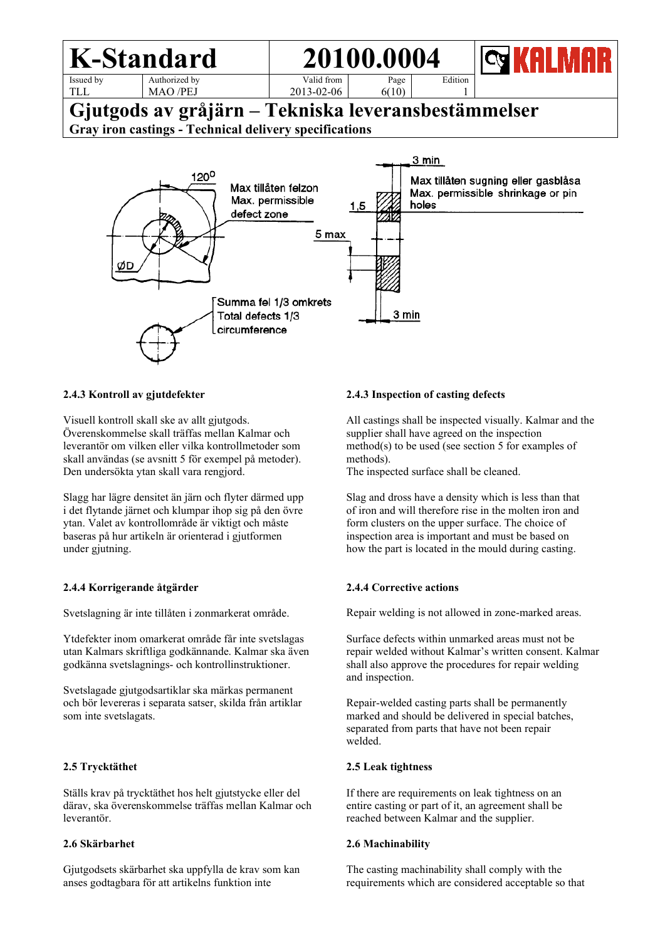#### **K-Standard 20100.0004** Issued by Authorized by Valid from Page Edition TLL MAO /PEJ 2013-02-06 6(10) 1 **Gjutgods av gråjärn – Tekniska leveransbestämmelser Gray iron castings - Technical delivery specifications** 3 min  $120^{\circ}$ Max tillåten sugning eller gasblåsa Max tillåten felzon



#### **2.4.3 Kontroll av gjutdefekter**

Visuell kontroll skall ske av allt gjutgods. Överenskommelse skall träffas mellan Kalmar och leverantör om vilken eller vilka kontrollmetoder som skall användas (se avsnitt 5 för exempel på metoder). Den undersökta ytan skall vara rengjord.

Slagg har lägre densitet än järn och flyter därmed upp i det flytande järnet och klumpar ihop sig på den övre ytan. Valet av kontrollområde är viktigt och måste baseras på hur artikeln är orienterad i gjutformen under gjutning.

#### **2.4.4 Korrigerande åtgärder**

Svetslagning är inte tillåten i zonmarkerat område.

Ytdefekter inom omarkerat område får inte svetslagas utan Kalmars skriftliga godkännande. Kalmar ska även godkänna svetslagnings- och kontrollinstruktioner.

Svetslagade gjutgodsartiklar ska märkas permanent och bör levereras i separata satser, skilda från artiklar som inte svetslagats.

#### **2.5 Trycktäthet**

Ställs krav på trycktäthet hos helt gjutstycke eller del därav, ska överenskommelse träffas mellan Kalmar och leverantör.

#### **2.6 Skärbarhet**

Gjutgodsets skärbarhet ska uppfylla de krav som kan anses godtagbara för att artikelns funktion inte

#### **2.4.3 Inspection of casting defects**

All castings shall be inspected visually. Kalmar and the supplier shall have agreed on the inspection method(s) to be used (see section 5 for examples of methods).

The inspected surface shall be cleaned.

Slag and dross have a density which is less than that of iron and will therefore rise in the molten iron and form clusters on the upper surface. The choice of inspection area is important and must be based on how the part is located in the mould during casting.

#### **2.4.4 Corrective actions**

Repair welding is not allowed in zone-marked areas.

Surface defects within unmarked areas must not be repair welded without Kalmar's written consent. Kalmar shall also approve the procedures for repair welding and inspection.

Repair-welded casting parts shall be permanently marked and should be delivered in special batches, separated from parts that have not been repair welded.

#### **2.5 Leak tightness**

If there are requirements on leak tightness on an entire casting or part of it, an agreement shall be reached between Kalmar and the supplier.

#### **2.6 Machinability**

The casting machinability shall comply with the requirements which are considered acceptable so that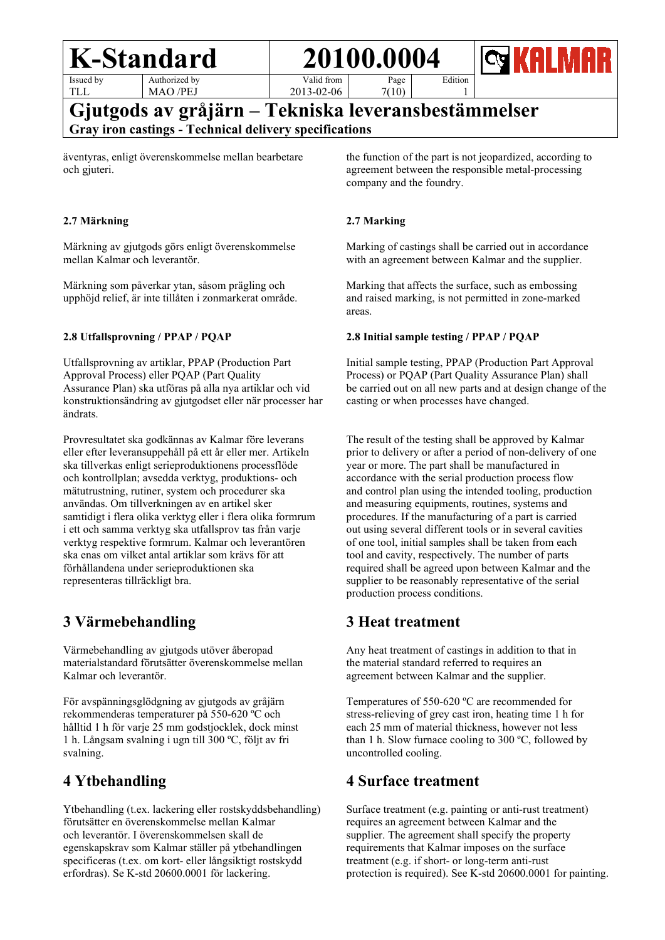Issued by TLL

Authorized by MAO /PEJ

Valid from

Page

2013-02-06 7(10)

**Gjutgods av gråjärn – Tekniska leveransbestämmelser Gray iron castings - Technical delivery specifications**

äventyras, enligt överenskommelse mellan bearbetare och gjuteri.

#### **2.7 Märkning**

Märkning av gjutgods görs enligt överenskommelse mellan Kalmar och leverantör.

Märkning som påverkar ytan, såsom prägling och upphöjd relief, är inte tillåten i zonmarkerat område.

#### **2.8 Utfallsprovning / PPAP / PQAP**

Utfallsprovning av artiklar, PPAP (Production Part Approval Process) eller PQAP (Part Quality Assurance Plan) ska utföras på alla nya artiklar och vid konstruktionsändring av gjutgodset eller när processer har ändrats.

Provresultatet ska godkännas av Kalmar före leverans eller efter leveransuppehåll på ett år eller mer. Artikeln ska tillverkas enligt serieproduktionens processflöde och kontrollplan; avsedda verktyg, produktions- och mätutrustning, rutiner, system och procedurer ska användas. Om tillverkningen av en artikel sker samtidigt i flera olika verktyg eller i flera olika formrum i ett och samma verktyg ska utfallsprov tas från varje verktyg respektive formrum. Kalmar och leverantören ska enas om vilket antal artiklar som krävs för att förhållandena under serieproduktionen ska representeras tillräckligt bra.

## **3 Värmebehandling**

Värmebehandling av gjutgods utöver åberopad materialstandard förutsätter överenskommelse mellan Kalmar och leverantör.

För avspänningsglödgning av gjutgods av gråjärn rekommenderas temperaturer på 550-620 ºC och hålltid 1 h för varje 25 mm godstjocklek, dock minst 1 h. Långsam svalning i ugn till 300 ºC, följt av fri svalning.

## **4 Ytbehandling**

Ytbehandling (t.ex. lackering eller rostskyddsbehandling) förutsätter en överenskommelse mellan Kalmar och leverantör. I överenskommelsen skall de egenskapskrav som Kalmar ställer på ytbehandlingen specificeras (t.ex. om kort- eller långsiktigt rostskydd erfordras). Se K-std 20600.0001 för lackering.

the function of the part is not jeopardized, according to agreement between the responsible metal-processing company and the foundry.

Edition 1

#### **2.7 Marking**

Marking of castings shall be carried out in accordance with an agreement between Kalmar and the supplier.

Marking that affects the surface, such as embossing and raised marking, is not permitted in zone-marked areas.

#### **2.8 Initial sample testing / PPAP / PQAP**

Initial sample testing, PPAP (Production Part Approval Process) or PQAP (Part Quality Assurance Plan) shall be carried out on all new parts and at design change of the casting or when processes have changed.

The result of the testing shall be approved by Kalmar prior to delivery or after a period of non-delivery of one year or more. The part shall be manufactured in accordance with the serial production process flow and control plan using the intended tooling, production and measuring equipments, routines, systems and procedures. If the manufacturing of a part is carried out using several different tools or in several cavities of one tool, initial samples shall be taken from each tool and cavity, respectively. The number of parts required shall be agreed upon between Kalmar and the supplier to be reasonably representative of the serial production process conditions.

## **3 Heat treatment**

Any heat treatment of castings in addition to that in the material standard referred to requires an agreement between Kalmar and the supplier.

Temperatures of 550-620 ºC are recommended for stress-relieving of grey cast iron, heating time 1 h for each 25 mm of material thickness, however not less than 1 h. Slow furnace cooling to 300 ºC, followed by uncontrolled cooling.

### **4 Surface treatment**

Surface treatment (e.g. painting or anti-rust treatment) requires an agreement between Kalmar and the supplier. The agreement shall specify the property requirements that Kalmar imposes on the surface treatment (e.g. if short- or long-term anti-rust protection is required). See K-std 20600.0001 for painting.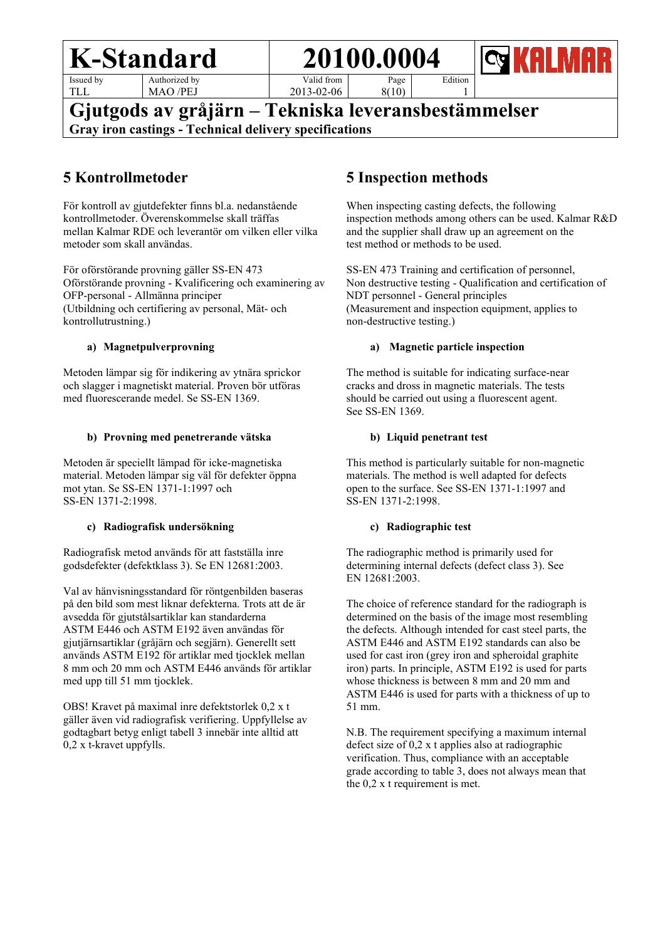Issued by TLL

Authorized by MAO /PEJ

Valid from 2013-02-06 Page

8(10)

**Gjutgods av gråjärn – Tekniska leveransbestämmelser**

**Gray iron castings - Technical delivery specifications**

## **5 Kontrollmetoder**

För kontroll av gjutdefekter finns bl.a. nedanstående kontrollmetoder. Överenskommelse skall träffas mellan Kalmar RDE och leverantör om vilken eller vilka metoder som skall användas.

För oförstörande provning gäller SS-EN 473 Oförstörande provning - Kvalificering och examinering av OFP-personal - Allmänna principer (Utbildning och certifiering av personal, Mät- och kontrollutrustning.)

#### **a) Magnetpulverprovning**

Metoden lämpar sig för indikering av ytnära sprickor och slagger i magnetiskt material. Proven bör utföras med fluorescerande medel. Se SS-EN 1369.

#### **b) Provning med penetrerande vätska**

Metoden är speciellt lämpad för icke-magnetiska material. Metoden lämpar sig väl för defekter öppna mot ytan. Se SS-EN 1371-1:1997 och SS-EN 1371-2:1998.

#### **c) Radiografisk undersökning**

Radiografisk metod används för att fastställa inre godsdefekter (defektklass 3). Se EN 12681:2003.

Val av hänvisningsstandard för röntgenbilden baseras på den bild som mest liknar defekterna. Trots att de är avsedda för gjutstålsartiklar kan standarderna ASTM E446 och ASTM E192 även användas för gjutjärnsartiklar (gråjärn och segjärn). Generellt sett används ASTM E192 för artiklar med tjocklek mellan 8 mm och 20 mm och ASTM E446 används för artiklar med upp till 51 mm tjocklek.

OBS! Kravet på maximal inre defektstorlek 0,2 x t gäller även vid radiografisk verifiering. Uppfyllelse av godtagbart betyg enligt tabell 3 innebär inte alltid att 0,2 x t-kravet uppfylls.

## **5 Inspection methods**

When inspecting casting defects, the following inspection methods among others can be used. Kalmar R&D and the supplier shall draw up an agreement on the test method or methods to be used.

Edition 1

SS-EN 473 Training and certification of personnel, Non destructive testing - Qualification and certification of NDT personnel - General principles (Measurement and inspection equipment, applies to non-destructive testing.)

#### **a) Magnetic particle inspection**

The method is suitable for indicating surface-near cracks and dross in magnetic materials. The tests should be carried out using a fluorescent agent. See SS-EN 1369.

#### **b) Liquid penetrant test**

This method is particularly suitable for non-magnetic materials. The method is well adapted for defects open to the surface. See SS-EN 1371-1:1997 and SS-EN 1371-2:1998.

#### **c) Radiographic test**

The radiographic method is primarily used for determining internal defects (defect class 3). See EN 12681:2003.

The choice of reference standard for the radiograph is determined on the basis of the image most resembling the defects. Although intended for cast steel parts, the ASTM E446 and ASTM E192 standards can also be used for cast iron (grey iron and spheroidal graphite iron) parts. In principle, ASTM E192 is used for parts whose thickness is between 8 mm and 20 mm and ASTM E446 is used for parts with a thickness of up to 51 mm.

N.B. The requirement specifying a maximum internal defect size of 0,2 x t applies also at radiographic verification. Thus, compliance with an acceptable grade according to table 3, does not always mean that the 0,2 x t requirement is met.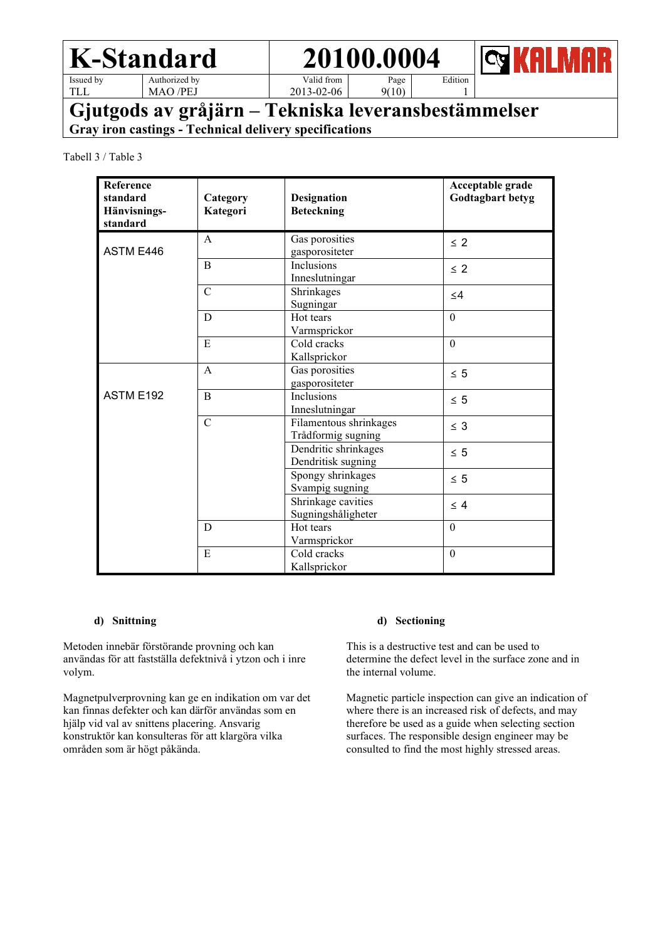Issued by TLL

Authorized by MAO /PEJ

Valid from 2013-02-06

Page  $9(10)$  Edition 1

**Gjutgods av gråjärn – Tekniska leveransbestämmelser**

**Gray iron castings - Technical delivery specifications**

Tabell 3 / Table 3

| Reference<br>standard<br>Hänvisnings-<br>standard | Category<br>Kategori | Designation<br><b>Beteckning</b>             | Acceptable grade<br>Godtagbart betyg |
|---------------------------------------------------|----------------------|----------------------------------------------|--------------------------------------|
| ASTM E446                                         | $\mathsf{A}$         | Gas porosities<br>gasporositeter             | $\leq$ 2                             |
|                                                   | B                    | Inclusions<br>Inneslutningar                 | $\leq$ 2                             |
|                                                   | $\overline{C}$       | Shrinkages<br>Sugningar                      | $\leq$ 4                             |
|                                                   | D                    | Hot tears<br>Varmsprickor                    | $\mathbf{0}$                         |
|                                                   | E                    | Cold cracks<br>Kallsprickor                  | $\boldsymbol{0}$                     |
|                                                   | A                    | Gas porosities<br>gasporositeter             | $\leq 5$                             |
| ASTM E192                                         | B                    | Inclusions<br>Inneslutningar                 | $\leq 5$                             |
|                                                   | $\overline{C}$       | Filamentous shrinkages<br>Trådformig sugning | $\leq$ 3                             |
|                                                   |                      | Dendritic shrinkages<br>Dendritisk sugning   | $\leq 5$                             |
|                                                   |                      | Spongy shrinkages<br>Svampig sugning         | $\leq 5$                             |
|                                                   |                      | Shrinkage cavities<br>Sugningshåligheter     | $\leq 4$                             |
|                                                   | D                    | Hot tears<br>Varmsprickor                    | $\mathbf{0}$                         |
|                                                   | E                    | Cold cracks<br>Kallsprickor                  | $\mathbf{0}$                         |

#### **d) Snittning**

Metoden innebär förstörande provning och kan användas för att fastställa defektnivå i ytzon och i inre volym.

Magnetpulverprovning kan ge en indikation om var det kan finnas defekter och kan därför användas som en hjälp vid val av snittens placering. Ansvarig konstruktör kan konsulteras för att klargöra vilka områden som är högt påkända.

#### **d) Sectioning**

This is a destructive test and can be used to determine the defect level in the surface zone and in the internal volume.

Magnetic particle inspection can give an indication of where there is an increased risk of defects, and may therefore be used as a guide when selecting section surfaces. The responsible design engineer may be consulted to find the most highly stressed areas.